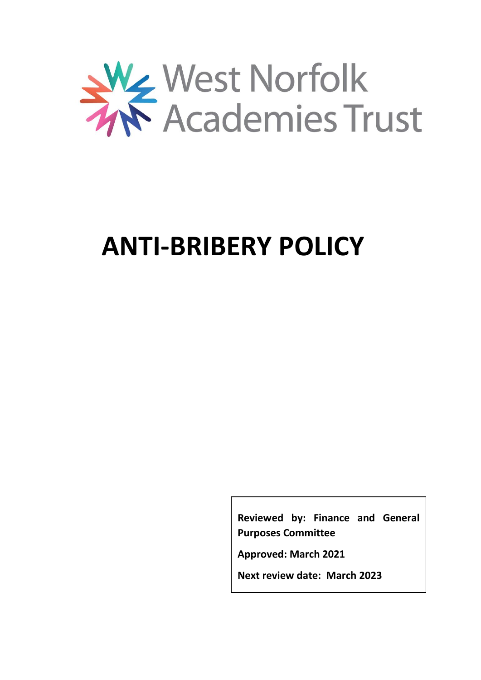

# **ANTI-BRIBERY POLICY**

**Reviewed by: Finance and General Purposes Committee**

**Approved: March 2021**

**Next review date: March 2023**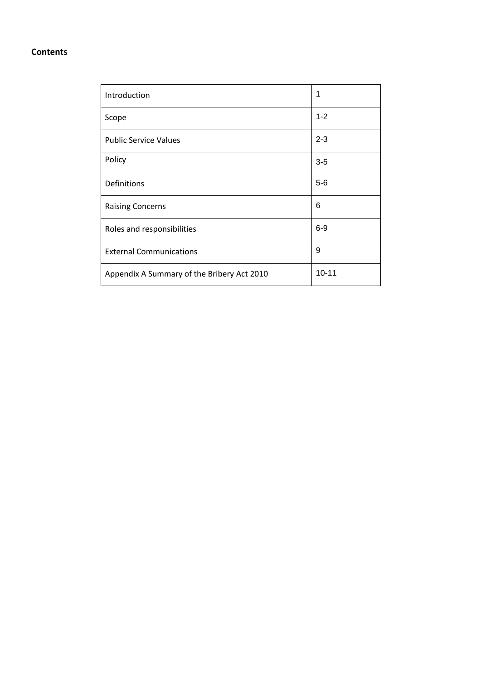# **Contents**

| Introduction                               | 1         |
|--------------------------------------------|-----------|
| Scope                                      | $1 - 2$   |
| <b>Public Service Values</b>               | $2 - 3$   |
| Policy                                     | $3-5$     |
| Definitions                                | $5-6$     |
| <b>Raising Concerns</b>                    | 6         |
| Roles and responsibilities                 | $6-9$     |
| <b>External Communications</b>             | 9         |
| Appendix A Summary of the Bribery Act 2010 | $10 - 11$ |
|                                            |           |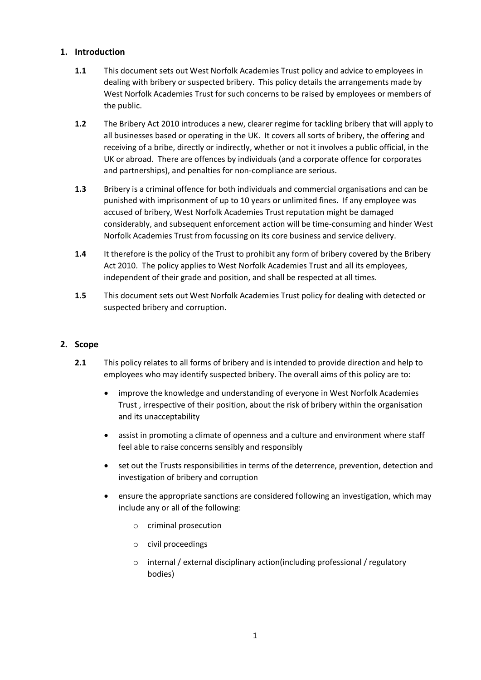# **1. Introduction**

- **1.1** This document sets out West Norfolk Academies Trust policy and advice to employees in dealing with bribery or suspected bribery. This policy details the arrangements made by West Norfolk Academies Trust for such concerns to be raised by employees or members of the public.
- **1.2** The Bribery Act 2010 introduces a new, clearer regime for tackling bribery that will apply to all businesses based or operating in the UK. It covers all sorts of bribery, the offering and receiving of a bribe, directly or indirectly, whether or not it involves a public official, in the UK or abroad. There are offences by individuals (and a corporate offence for corporates and partnerships), and penalties for non-compliance are serious.
- **1.3** Bribery is a criminal offence for both individuals and commercial organisations and can be punished with imprisonment of up to 10 years or unlimited fines. If any employee was accused of bribery, West Norfolk Academies Trust reputation might be damaged considerably, and subsequent enforcement action will be time-consuming and hinder West Norfolk Academies Trust from focussing on its core business and service delivery.
- **1.4** It therefore is the policy of the Trust to prohibit any form of bribery covered by the Bribery Act 2010. The policy applies to West Norfolk Academies Trust and all its employees, independent of their grade and position, and shall be respected at all times.
- **1.5** This document sets out West Norfolk Academies Trust policy for dealing with detected or suspected bribery and corruption.

# **2. Scope**

- **2.1** This policy relates to all forms of bribery and is intended to provide direction and help to employees who may identify suspected bribery. The overall aims of this policy are to:
	- improve the knowledge and understanding of everyone in West Norfolk Academies Trust , irrespective of their position, about the risk of bribery within the organisation and its unacceptability
	- assist in promoting a climate of openness and a culture and environment where staff feel able to raise concerns sensibly and responsibly
	- set out the Trusts responsibilities in terms of the deterrence, prevention, detection and investigation of bribery and corruption
	- ensure the appropriate sanctions are considered following an investigation, which may include any or all of the following:
		- o criminal prosecution
		- o civil proceedings
		- o internal / external disciplinary action(including professional / regulatory bodies)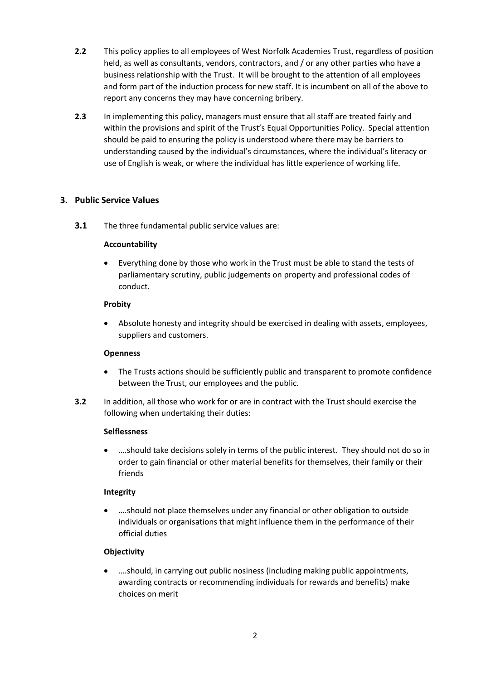- **2.2** This policy applies to all employees of West Norfolk Academies Trust, regardless of position held, as well as consultants, vendors, contractors, and / or any other parties who have a business relationship with the Trust. It will be brought to the attention of all employees and form part of the induction process for new staff. It is incumbent on all of the above to report any concerns they may have concerning bribery.
- **2.3** In implementing this policy, managers must ensure that all staff are treated fairly and within the provisions and spirit of the Trust's Equal Opportunities Policy. Special attention should be paid to ensuring the policy is understood where there may be barriers to understanding caused by the individual's circumstances, where the individual's literacy or use of English is weak, or where the individual has little experience of working life.

# **3. Public Service Values**

**3.1** The three fundamental public service values are:

#### **Accountability**

 Everything done by those who work in the Trust must be able to stand the tests of parliamentary scrutiny, public judgements on property and professional codes of conduct.

#### **Probity**

 Absolute honesty and integrity should be exercised in dealing with assets, employees, suppliers and customers.

# **Openness**

- The Trusts actions should be sufficiently public and transparent to promote confidence between the Trust, our employees and the public.
- **3.2** In addition, all those who work for or are in contract with the Trust should exercise the following when undertaking their duties:

# **Selflessness**

 ….should take decisions solely in terms of the public interest. They should not do so in order to gain financial or other material benefits for themselves, their family or their friends

# **Integrity**

 ….should not place themselves under any financial or other obligation to outside individuals or organisations that might influence them in the performance of their official duties

# **Objectivity**

 ….should, in carrying out public nosiness (including making public appointments, awarding contracts or recommending individuals for rewards and benefits) make choices on merit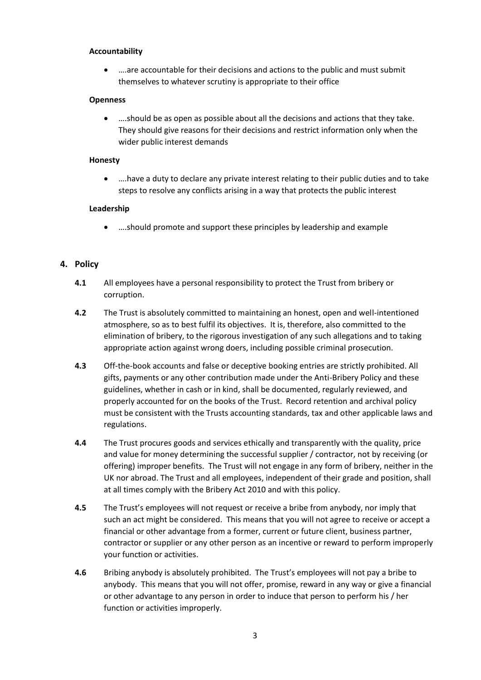#### **Accountability**

 ….are accountable for their decisions and actions to the public and must submit themselves to whatever scrutiny is appropriate to their office

#### **Openness**

 ….should be as open as possible about all the decisions and actions that they take. They should give reasons for their decisions and restrict information only when the wider public interest demands

#### **Honesty**

 ….have a duty to declare any private interest relating to their public duties and to take steps to resolve any conflicts arising in a way that protects the public interest

#### **Leadership**

….should promote and support these principles by leadership and example

#### **4. Policy**

- **4.1** All employees have a personal responsibility to protect the Trust from bribery or corruption.
- **4.2** The Trust is absolutely committed to maintaining an honest, open and well-intentioned atmosphere, so as to best fulfil its objectives. It is, therefore, also committed to the elimination of bribery, to the rigorous investigation of any such allegations and to taking appropriate action against wrong doers, including possible criminal prosecution.
- **4.3** Off-the-book accounts and false or deceptive booking entries are strictly prohibited. All gifts, payments or any other contribution made under the Anti-Bribery Policy and these guidelines, whether in cash or in kind, shall be documented, regularly reviewed, and properly accounted for on the books of the Trust. Record retention and archival policy must be consistent with the Trusts accounting standards, tax and other applicable laws and regulations.
- **4.4** The Trust procures goods and services ethically and transparently with the quality, price and value for money determining the successful supplier / contractor, not by receiving (or offering) improper benefits. The Trust will not engage in any form of bribery, neither in the UK nor abroad. The Trust and all employees, independent of their grade and position, shall at all times comply with the Bribery Act 2010 and with this policy.
- **4.5** The Trust's employees will not request or receive a bribe from anybody, nor imply that such an act might be considered. This means that you will not agree to receive or accept a financial or other advantage from a former, current or future client, business partner, contractor or supplier or any other person as an incentive or reward to perform improperly your function or activities.
- **4.6** Bribing anybody is absolutely prohibited. The Trust's employees will not pay a bribe to anybody. This means that you will not offer, promise, reward in any way or give a financial or other advantage to any person in order to induce that person to perform his / her function or activities improperly.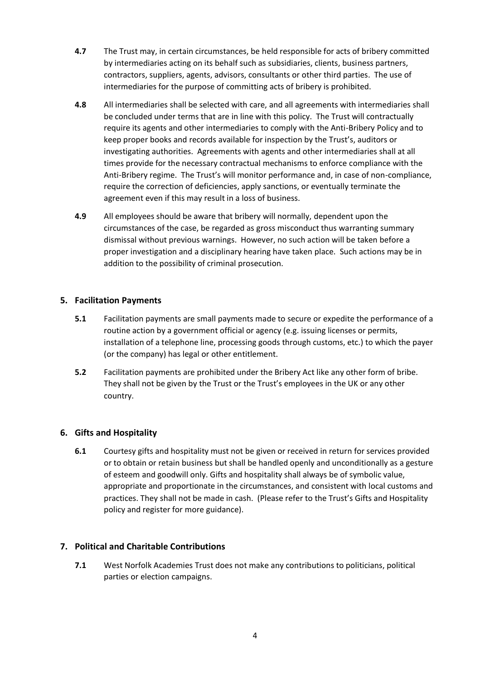- **4.7** The Trust may, in certain circumstances, be held responsible for acts of bribery committed by intermediaries acting on its behalf such as subsidiaries, clients, business partners, contractors, suppliers, agents, advisors, consultants or other third parties. The use of intermediaries for the purpose of committing acts of bribery is prohibited.
- **4.8** All intermediaries shall be selected with care, and all agreements with intermediaries shall be concluded under terms that are in line with this policy. The Trust will contractually require its agents and other intermediaries to comply with the Anti-Bribery Policy and to keep proper books and records available for inspection by the Trust's, auditors or investigating authorities. Agreements with agents and other intermediaries shall at all times provide for the necessary contractual mechanisms to enforce compliance with the Anti-Bribery regime. The Trust's will monitor performance and, in case of non-compliance, require the correction of deficiencies, apply sanctions, or eventually terminate the agreement even if this may result in a loss of business.
- **4.9** All employees should be aware that bribery will normally, dependent upon the circumstances of the case, be regarded as gross misconduct thus warranting summary dismissal without previous warnings. However, no such action will be taken before a proper investigation and a disciplinary hearing have taken place. Such actions may be in addition to the possibility of criminal prosecution.

# **5. Facilitation Payments**

- **5.1** Facilitation payments are small payments made to secure or expedite the performance of a routine action by a government official or agency (e.g. issuing licenses or permits, installation of a telephone line, processing goods through customs, etc.) to which the payer (or the company) has legal or other entitlement.
- **5.2** Facilitation payments are prohibited under the Bribery Act like any other form of bribe. They shall not be given by the Trust or the Trust's employees in the UK or any other country.

# **6. Gifts and Hospitality**

**6.1** Courtesy gifts and hospitality must not be given or received in return for services provided or to obtain or retain business but shall be handled openly and unconditionally as a gesture of esteem and goodwill only. Gifts and hospitality shall always be of symbolic value, appropriate and proportionate in the circumstances, and consistent with local customs and practices. They shall not be made in cash. (Please refer to the Trust's Gifts and Hospitality policy and register for more guidance).

# **7. Political and Charitable Contributions**

**7.1** West Norfolk Academies Trust does not make any contributions to politicians, political parties or election campaigns.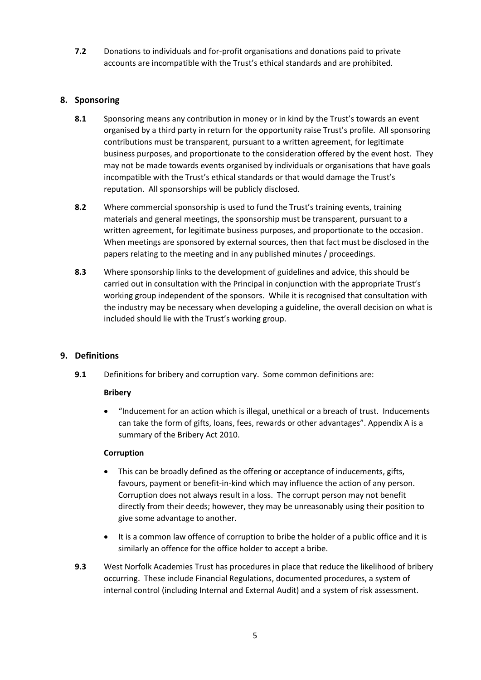**7.2** Donations to individuals and for-profit organisations and donations paid to private accounts are incompatible with the Trust's ethical standards and are prohibited.

# **8. Sponsoring**

- **8.1** Sponsoring means any contribution in money or in kind by the Trust's towards an event organised by a third party in return for the opportunity raise Trust's profile. All sponsoring contributions must be transparent, pursuant to a written agreement, for legitimate business purposes, and proportionate to the consideration offered by the event host. They may not be made towards events organised by individuals or organisations that have goals incompatible with the Trust's ethical standards or that would damage the Trust's reputation. All sponsorships will be publicly disclosed.
- **8.2** Where commercial sponsorship is used to fund the Trust's training events, training materials and general meetings, the sponsorship must be transparent, pursuant to a written agreement, for legitimate business purposes, and proportionate to the occasion. When meetings are sponsored by external sources, then that fact must be disclosed in the papers relating to the meeting and in any published minutes / proceedings.
- **8.3** Where sponsorship links to the development of guidelines and advice, this should be carried out in consultation with the Principal in conjunction with the appropriate Trust's working group independent of the sponsors. While it is recognised that consultation with the industry may be necessary when developing a guideline, the overall decision on what is included should lie with the Trust's working group.

# **9. Definitions**

**9.1** Definitions for bribery and corruption vary. Some common definitions are:

# **Bribery**

 "Inducement for an action which is illegal, unethical or a breach of trust. Inducements can take the form of gifts, loans, fees, rewards or other advantages". Appendix A is a summary of the Bribery Act 2010.

# **Corruption**

- This can be broadly defined as the offering or acceptance of inducements, gifts, favours, payment or benefit-in-kind which may influence the action of any person. Corruption does not always result in a loss. The corrupt person may not benefit directly from their deeds; however, they may be unreasonably using their position to give some advantage to another.
- It is a common law offence of corruption to bribe the holder of a public office and it is similarly an offence for the office holder to accept a bribe.
- **9.3** West Norfolk Academies Trust has procedures in place that reduce the likelihood of bribery occurring. These include Financial Regulations, documented procedures, a system of internal control (including Internal and External Audit) and a system of risk assessment.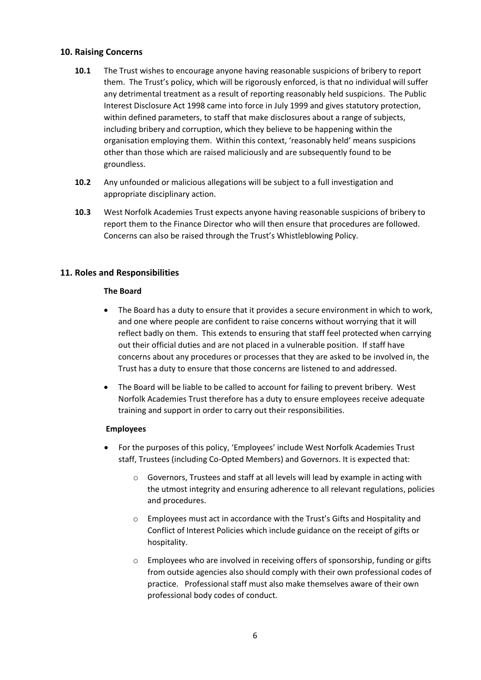### **10. Raising Concerns**

- **10.1** The Trust wishes to encourage anyone having reasonable suspicions of bribery to report them. The Trust's policy, which will be rigorously enforced, is that no individual will suffer any detrimental treatment as a result of reporting reasonably held suspicions. The Public Interest Disclosure Act 1998 came into force in July 1999 and gives statutory protection, within defined parameters, to staff that make disclosures about a range of subjects, including bribery and corruption, which they believe to be happening within the organisation employing them. Within this context, 'reasonably held' means suspicions other than those which are raised maliciously and are subsequently found to be groundless.
- **10.2** Any unfounded or malicious allegations will be subject to a full investigation and appropriate disciplinary action.
- **10.3** West Norfolk Academies Trust expects anyone having reasonable suspicions of bribery to report them to the Finance Director who will then ensure that procedures are followed. Concerns can also be raised through the Trust's Whistleblowing Policy.

# **11. Roles and Responsibilities**

#### **The Board**

- The Board has a duty to ensure that it provides a secure environment in which to work, and one where people are confident to raise concerns without worrying that it will reflect badly on them. This extends to ensuring that staff feel protected when carrying out their official duties and are not placed in a vulnerable position. If staff have concerns about any procedures or processes that they are asked to be involved in, the Trust has a duty to ensure that those concerns are listened to and addressed.
- The Board will be liable to be called to account for failing to prevent bribery. West Norfolk Academies Trust therefore has a duty to ensure employees receive adequate training and support in order to carry out their responsibilities.

#### **Employees**

- For the purposes of this policy, 'Employees' include West Norfolk Academies Trust staff, Trustees (including Co-Opted Members) and Governors. It is expected that:
	- o Governors, Trustees and staff at all levels will lead by example in acting with the utmost integrity and ensuring adherence to all relevant regulations, policies and procedures.
	- $\circ$  Employees must act in accordance with the Trust's Gifts and Hospitality and Conflict of Interest Policies which include guidance on the receipt of gifts or hospitality.
	- o Employees who are involved in receiving offers of sponsorship, funding or gifts from outside agencies also should comply with their own professional codes of practice. Professional staff must also make themselves aware of their own professional body codes of conduct.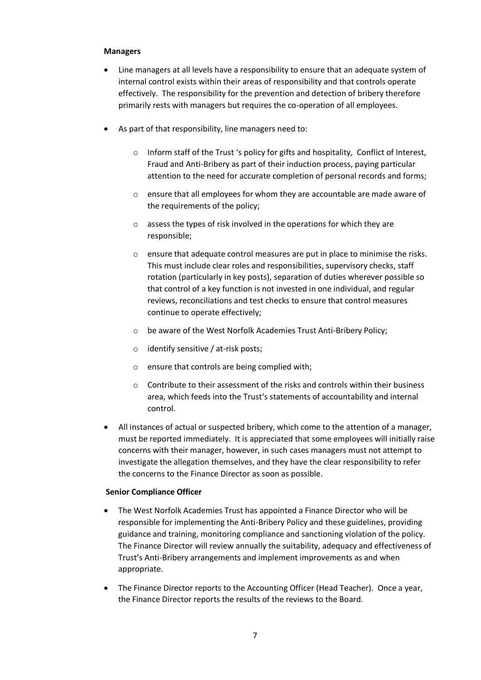#### **Managers**

- Line managers at all levels have a responsibility to ensure that an adequate system of internal control exists within their areas of responsibility and that controls operate effectively. The responsibility for the prevention and detection of bribery therefore primarily rests with managers but requires the co-operation of all employees.
- As part of that responsibility, line managers need to:
	- o Inform staff of the Trust 's policy for gifts and hospitality, Conflict of Interest, Fraud and Anti-Bribery as part of their induction process, paying particular attention to the need for accurate completion of personal records and forms;
	- $\circ$  ensure that all employees for whom they are accountable are made aware of the requirements of the policy;
	- o assess the types of risk involved in the operations for which they are responsible;
	- o ensure that adequate control measures are put in place to minimise the risks. This must include clear roles and responsibilities, supervisory checks, staff rotation (particularly in key posts), separation of duties wherever possible so that control of a key function is not invested in one individual, and regular reviews, reconciliations and test checks to ensure that control measures continue to operate effectively;
	- o be aware of the West Norfolk Academies Trust Anti-Bribery Policy;
	- o identify sensitive / at-risk posts;
	- o ensure that controls are being complied with;
	- $\circ$  Contribute to their assessment of the risks and controls within their business area, which feeds into the Trust's statements of accountability and internal control.
- All instances of actual or suspected bribery, which come to the attention of a manager, must be reported immediately. It is appreciated that some employees will initially raise concerns with their manager, however, in such cases managers must not attempt to investigate the allegation themselves, and they have the clear responsibility to refer the concerns to the Finance Director as soon as possible.

#### **Senior Compliance Officer**

- The West Norfolk Academies Trust has appointed a Finance Director who will be responsible for implementing the Anti-Bribery Policy and these guidelines, providing guidance and training, monitoring compliance and sanctioning violation of the policy. The Finance Director will review annually the suitability, adequacy and effectiveness of Trust's Anti-Bribery arrangements and implement improvements as and when appropriate.
- The Finance Director reports to the Accounting Officer (Head Teacher). Once a year, the Finance Director reports the results of the reviews to the Board.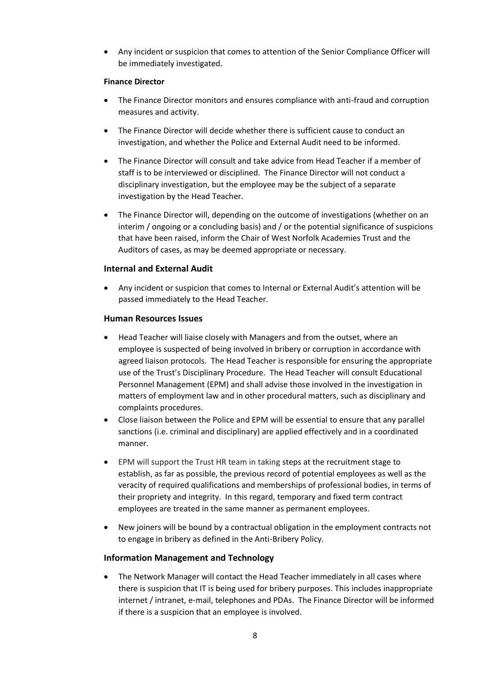Any incident or suspicion that comes to attention of the Senior Compliance Officer will be immediately investigated.

#### **Finance Director**

- The Finance Director monitors and ensures compliance with anti-fraud and corruption measures and activity.
- The Finance Director will decide whether there is sufficient cause to conduct an investigation, and whether the Police and External Audit need to be informed.
- The Finance Director will consult and take advice from Head Teacher if a member of staff is to be interviewed or disciplined. The Finance Director will not conduct a disciplinary investigation, but the employee may be the subject of a separate investigation by the Head Teacher.
- The Finance Director will, depending on the outcome of investigations (whether on an interim / ongoing or a concluding basis) and / or the potential significance of suspicions that have been raised, inform the Chair of West Norfolk Academies Trust and the Auditors of cases, as may be deemed appropriate or necessary.

# **Internal and External Audit**

 Any incident or suspicion that comes to Internal or External Audit's attention will be passed immediately to the Head Teacher.

#### **Human Resources Issues**

- Head Teacher will liaise closely with Managers and from the outset, where an employee is suspected of being involved in bribery or corruption in accordance with agreed liaison protocols. The Head Teacher is responsible for ensuring the appropriate use of the Trust's Disciplinary Procedure. The Head Teacher will consult Educational Personnel Management (EPM) and shall advise those involved in the investigation in matters of employment law and in other procedural matters, such as disciplinary and complaints procedures.
- Close liaison between the Police and EPM will be essential to ensure that any parallel sanctions (i.e. criminal and disciplinary) are applied effectively and in a coordinated manner.
- EPM will support the Trust HR team in taking steps at the recruitment stage to establish, as far as possible, the previous record of potential employees as well as the veracity of required qualifications and memberships of professional bodies, in terms of their propriety and integrity. In this regard, temporary and fixed term contract employees are treated in the same manner as permanent employees.
- New joiners will be bound by a contractual obligation in the employment contracts not to engage in bribery as defined in the Anti-Bribery Policy.

# **Information Management and Technology**

 The Network Manager will contact the Head Teacher immediately in all cases where there is suspicion that IT is being used for bribery purposes. This includes inappropriate internet / intranet, e-mail, telephones and PDAs. The Finance Director will be informed if there is a suspicion that an employee is involved.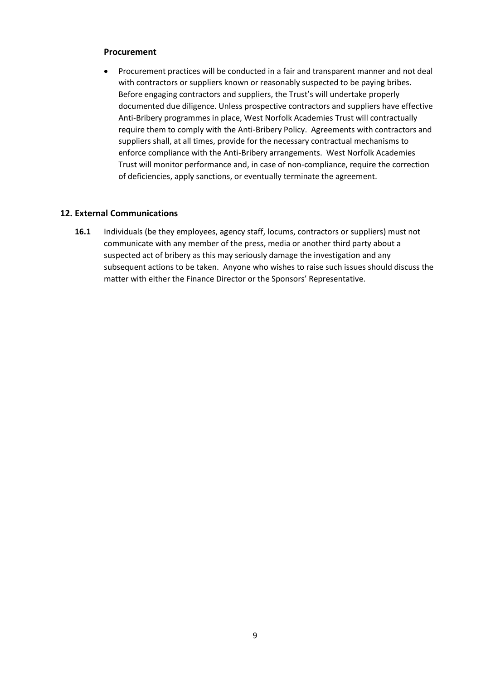#### **Procurement**

 Procurement practices will be conducted in a fair and transparent manner and not deal with contractors or suppliers known or reasonably suspected to be paying bribes. Before engaging contractors and suppliers, the Trust's will undertake properly documented due diligence. Unless prospective contractors and suppliers have effective Anti-Bribery programmes in place, West Norfolk Academies Trust will contractually require them to comply with the Anti-Bribery Policy. Agreements with contractors and suppliers shall, at all times, provide for the necessary contractual mechanisms to enforce compliance with the Anti-Bribery arrangements. West Norfolk Academies Trust will monitor performance and, in case of non-compliance, require the correction of deficiencies, apply sanctions, or eventually terminate the agreement.

# **12. External Communications**

**16.1** Individuals (be they employees, agency staff, locums, contractors or suppliers) must not communicate with any member of the press, media or another third party about a suspected act of bribery as this may seriously damage the investigation and any subsequent actions to be taken. Anyone who wishes to raise such issues should discuss the matter with either the Finance Director or the Sponsors' Representative.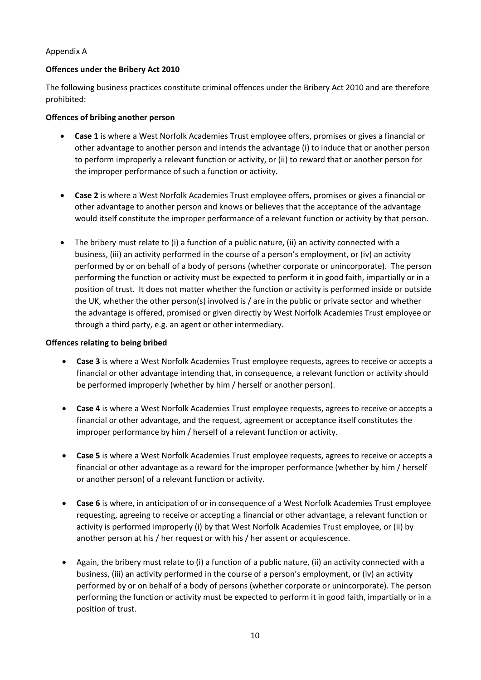### Appendix A

### **Offences under the Bribery Act 2010**

The following business practices constitute criminal offences under the Bribery Act 2010 and are therefore prohibited:

#### **Offences of bribing another person**

- **Case 1** is where a West Norfolk Academies Trust employee offers, promises or gives a financial or other advantage to another person and intends the advantage (i) to induce that or another person to perform improperly a relevant function or activity, or (ii) to reward that or another person for the improper performance of such a function or activity.
- **Case 2** is where a West Norfolk Academies Trust employee offers, promises or gives a financial or other advantage to another person and knows or believes that the acceptance of the advantage would itself constitute the improper performance of a relevant function or activity by that person.
- The bribery must relate to (i) a function of a public nature, (ii) an activity connected with a business, (iii) an activity performed in the course of a person's employment, or (iv) an activity performed by or on behalf of a body of persons (whether corporate or unincorporate). The person performing the function or activity must be expected to perform it in good faith, impartially or in a position of trust. It does not matter whether the function or activity is performed inside or outside the UK, whether the other person(s) involved is / are in the public or private sector and whether the advantage is offered, promised or given directly by West Norfolk Academies Trust employee or through a third party, e.g. an agent or other intermediary.

### **Offences relating to being bribed**

- **Case 3** is where a West Norfolk Academies Trust employee requests, agrees to receive or accepts a financial or other advantage intending that, in consequence, a relevant function or activity should be performed improperly (whether by him / herself or another person).
- **Case 4** is where a West Norfolk Academies Trust employee requests, agrees to receive or accepts a financial or other advantage, and the request, agreement or acceptance itself constitutes the improper performance by him / herself of a relevant function or activity.
- **Case 5** is where a West Norfolk Academies Trust employee requests, agrees to receive or accepts a financial or other advantage as a reward for the improper performance (whether by him / herself or another person) of a relevant function or activity.
- **Case 6** is where, in anticipation of or in consequence of a West Norfolk Academies Trust employee requesting, agreeing to receive or accepting a financial or other advantage, a relevant function or activity is performed improperly (i) by that West Norfolk Academies Trust employee, or (ii) by another person at his / her request or with his / her assent or acquiescence.
- Again, the bribery must relate to (i) a function of a public nature, (ii) an activity connected with a business, (iii) an activity performed in the course of a person's employment, or (iv) an activity performed by or on behalf of a body of persons (whether corporate or unincorporate). The person performing the function or activity must be expected to perform it in good faith, impartially or in a position of trust.